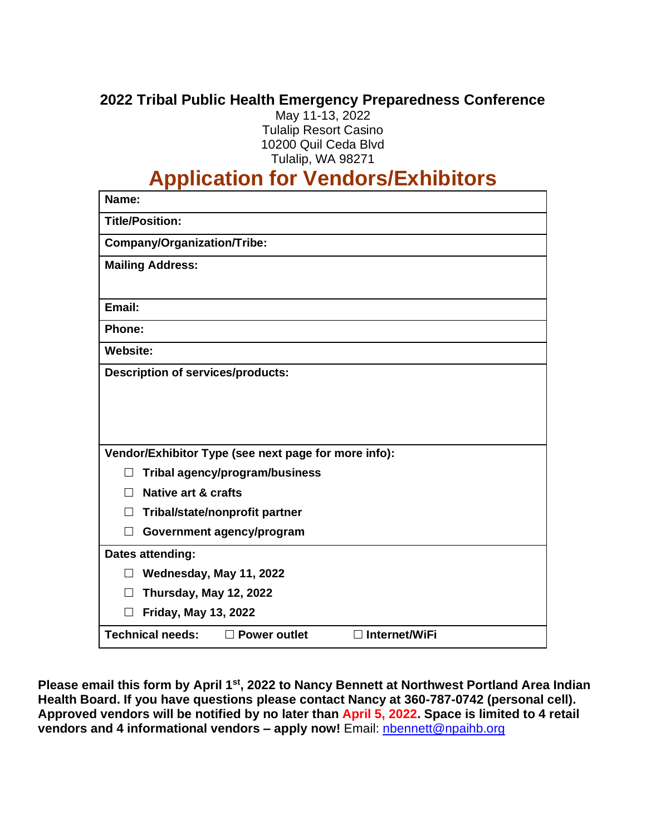## **2022 Tribal Public Health Emergency Preparedness Conference**

May 11-13, 2022 Tulalip Resort Casino 10200 Quil Ceda Blvd Tulalip, WA 98271

# **Application for Vendors/Exhibitors**

| Name:                                                                  |
|------------------------------------------------------------------------|
| <b>Title/Position:</b>                                                 |
| Company/Organization/Tribe:                                            |
| <b>Mailing Address:</b>                                                |
|                                                                        |
| Email:                                                                 |
| Phone:                                                                 |
| <b>Website:</b>                                                        |
| <b>Description of services/products:</b>                               |
|                                                                        |
|                                                                        |
|                                                                        |
| Vendor/Exhibitor Type (see next page for more info):                   |
| Tribal agency/program/business                                         |
| Native art & crafts                                                    |
| Tribal/state/nonprofit partner<br>П                                    |
| Government agency/program                                              |
| Dates attending:                                                       |
| Wednesday, May 11, 2022<br>$\perp$                                     |
| Thursday, May 12, 2022                                                 |
| <b>Friday, May 13, 2022</b>                                            |
| <b>Technical needs:</b><br>$\Box$ Internet/WiFi<br>$\Box$ Power outlet |

**Please email this form by April 1st , 2022 to Nancy Bennett at Northwest Portland Area Indian Health Board. If you have questions please contact Nancy at 360-787-0742 (personal cell). Approved vendors will be notified by no later than April 5, 2022. Space is limited to 4 retail vendors and 4 informational vendors – apply now!** Email: [nbennett@npaihb.org](mailto:nbennett@npaihb.org)